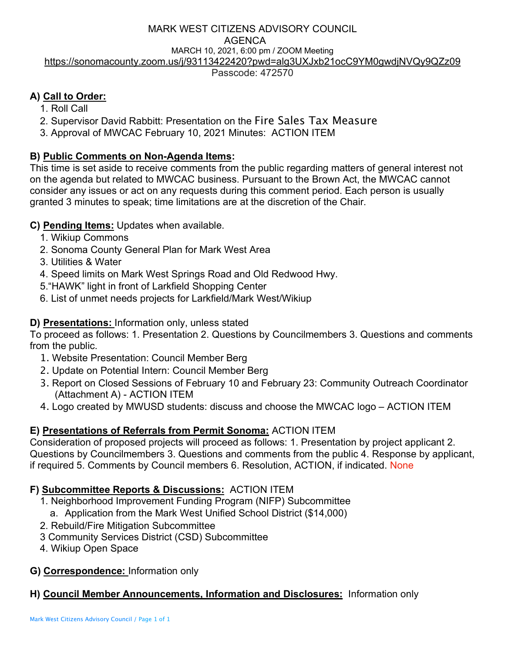# MARK WEST CITIZENS ADVISORY COUNCIL AGENCA MARCH 10, 2021, 6:00 pm / ZOOM Meeting https://sonomacounty.zoom.us/j/93113422420?pwd=alg3UXJxb21ocC9YM0gwdjNVQy9QZz09

Passcode: 472570

# **A) Call to Order:**

- 1. Roll Call
- 2. Supervisor David Rabbitt: Presentation on the Fire Sales Tax Measure
- 3. Approval of MWCAC February 10, 2021 Minutes: ACTION ITEM

# **B) Public Comments on Non-Agenda Items:**

This time is set aside to receive comments from the public regarding matters of general interest not on the agenda but related to MWCAC business. Pursuant to the Brown Act, the MWCAC cannot consider any issues or act on any requests during this comment period. Each person is usually granted 3 minutes to speak; time limitations are at the discretion of the Chair.

## **C) Pending Items:** Updates when available.

- 1. Wikiup Commons
- 2. Sonoma County General Plan for Mark West Area
- 3. Utilities & Water
- 4. Speed limits on Mark West Springs Road and Old Redwood Hwy.
- 5."HAWK" light in front of Larkfield Shopping Center
- 6. List of unmet needs projects for Larkfield/Mark West/Wikiup

# **D) Presentations:** Information only, unless stated

To proceed as follows: 1. Presentation 2. Questions by Councilmembers 3. Questions and comments from the public.

- 1. Website Presentation: Council Member Berg
- 2. Update on Potential Intern: Council Member Berg
- 3. Report on Closed Sessions of February 10 and February 23: Community Outreach Coordinator (Attachment A) - ACTION ITEM
- 4. Logo created by MWUSD students: discuss and choose the MWCAC logo ACTION ITEM

## **E) Presentations of Referrals from Permit Sonoma:** ACTION ITEM

Consideration of proposed projects will proceed as follows: 1. Presentation by project applicant 2. Questions by Councilmembers 3. Questions and comments from the public 4. Response by applicant, if required 5. Comments by Council members 6. Resolution, ACTION, if indicated. None

## **F) Subcommittee Reports & Discussions:** ACTION ITEM

- 1. Neighborhood Improvement Funding Program (NIFP) Subcommittee
- a. Application from the Mark West Unified School District (\$14,000)
- 2. Rebuild/Fire Mitigation Subcommittee
- 3 Community Services District (CSD) Subcommittee
- 4. Wikiup Open Space
- **G) Correspondence:** Information only

## **H) Council Member Announcements, Information and Disclosures:** Information only